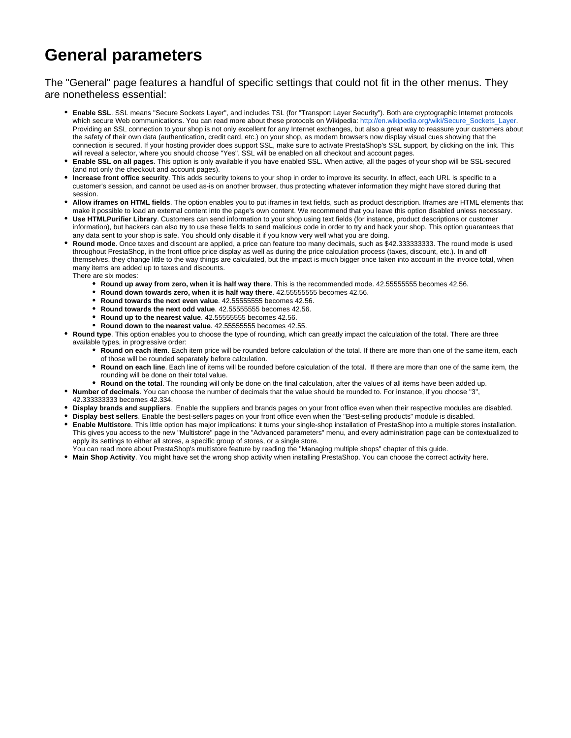## **General parameters**

The "General" page features a handful of specific settings that could not fit in the other menus. They are nonetheless essential:

- **Enable SSL**. SSL means "Secure Sockets Layer", and includes TSL (for "Transport Layer Security"). Both are cryptographic Internet protocols which secure Web communications. You can read more about these protocols on Wikipedia: [http://en.wikipedia.org/wiki/Secure\\_Sockets\\_Layer.](http://en.wikipedia.org/wiki/Secure_Sockets_Layer) Providing an SSL connection to your shop is not only excellent for any Internet exchanges, but also a great way to reassure your customers about the safety of their own data (authentication, credit card, etc.) on your shop, as modern browsers now display visual cues showing that the connection is secured. If your hosting provider does support SSL, make sure to activate PrestaShop's SSL support, by clicking on the link. This will reveal a selector, where you should choose "Yes". SSL will be enabled on all checkout and account pages.
- **Enable SSL on all pages**. This option is only available if you have enabled SSL. When active, all the pages of your shop will be SSL-secured (and not only the checkout and account pages).
- **Increase front office security**. This adds security tokens to your shop in order to improve its security. In effect, each URL is specific to a customer's session, and cannot be used as-is on another browser, thus protecting whatever information they might have stored during that session.
- **Allow iframes on HTML fields**. The option enables you to put iframes in text fields, such as product description. Iframes are HTML elements that make it possible to load an external content into the page's own content. We recommend that you leave this option disabled unless necessary.
- **Use HTMLPurifier Library**. Customers can send information to your shop using text fields (for instance, product descriptions or customer information), but hackers can also try to use these fields to send malicious code in order to try and hack your shop. This option guarantees that any data sent to your shop is safe. You should only disable it if you know very well what you are doing.
- **Round mode**. Once taxes and discount are applied, a price can feature too many decimals, such as \$42.333333333. The round mode is used throughout PrestaShop, in the front office price display as well as during the price calculation process (taxes, discount, etc.). In and off themselves, they change little to the way things are calculated, but the impact is much bigger once taken into account in the invoice total, when many items are added up to taxes and discounts. There are six modes:
	- **Round up away from zero, when it is half way there**. This is the recommended mode. 42.55555555 becomes 42.56.
	- **Round down towards zero, when it is half way there**. 42.55555555 becomes 42.56.
	- **Round towards the next even value**. 42.55555555 becomes 42.56.
	- **Round towards the next odd value**. 42.55555555 becomes 42.56.
	- **Round up to the nearest value**. 42.55555555 becomes 42.56.
	- **Round down to the nearest value**. 42.55555555 becomes 42.55.
- **Round type**. This option enables you to choose the type of rounding, which can greatly impact the calculation of the total. There are three available types, in progressive order:
	- **Round on each item**. Each item price will be rounded before calculation of the total. If there are more than one of the same item, each of those will be rounded separately before calculation.
	- **Round on each line**. Each line of items will be rounded before calculation of the total. If there are more than one of the same item, the rounding will be done on their total value.
	- **Round on the total**. The rounding will only be done on the final calculation, after the values of all items have been added up.
- **Number of decimals**. You can choose the number of decimals that the value should be rounded to. For instance, if you choose "3",
- 42.333333333 becomes 42.334.
- **Display brands and suppliers**. Enable the suppliers and brands pages on your front office even when their respective modules are disabled.
- **Display best sellers**. Enable the best-sellers pages on your front office even when the "Best-selling products" module is disabled.
- **Enable Multistore**. This little option has major implications: it turns your single-shop installation of PrestaShop into a multiple stores installation. This gives you access to the new "Multistore" page in the "Advanced parameters" menu, and every administration page can be contextualized to apply its settings to either all stores, a specific group of stores, or a single store.
- You can read more about PrestaShop's multistore feature by reading the "Managing multiple shops" chapter of this guide.
- **Main Shop Activity**. You might have set the wrong shop activity when installing PrestaShop. You can choose the correct activity here.